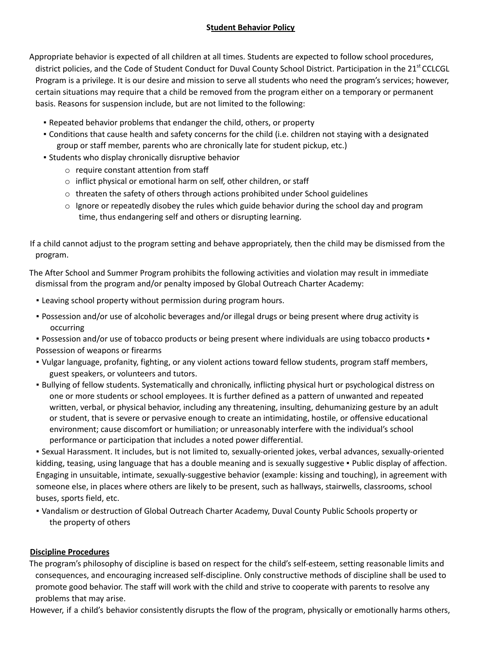## **Student Behavior Policy**

Appropriate behavior is expected of all children at all times. Students are expected to follow school procedures, district policies, and the Code of Student Conduct for Duval County School District. Participation in the 21<sup>st</sup> CCLCGL Program is a privilege. It is our desire and mission to serve all students who need the program's services; however, certain situations may require that a child be removed from the program either on a temporary or permanent basis. Reasons for suspension include, but are not limited to the following:

- Repeated behavior problems that endanger the child, others, or property
- Conditions that cause health and safety concerns for the child (i.e. children not staying with a designated group or staff member, parents who are chronically late for student pickup, etc.)
- **EXTERS 15 In the Students who display chronically disruptive behavior** 
	- o require constant attention from staff
	- o inflict physical or emotional harm on self, other children, or staff
	- $\circ$  threaten the safety of others through actions prohibited under School guidelines
	- $\circ$  Ignore or repeatedly disobey the rules which guide behavior during the school day and program time, thus endangering self and others or disrupting learning.

If a child cannot adjust to the program setting and behave appropriately, then the child may be dismissed from the program.

The After School and Summer Program prohibits the following activities and violation may result in immediate dismissal from the program and/or penalty imposed by Global Outreach Charter Academy:

- Leaving school property without permission during program hours.
- Possession and/or use of alcoholic beverages and/or illegal drugs or being present where drug activity is occurring

▪ Possession and/or use of tobacco products or being present where individuals are using tobacco products ▪ Possession of weapons or firearms

- Vulgar language, profanity, fighting, or any violent actions toward fellow students, program staff members, guest speakers, or volunteers and tutors.
- Bullying of fellow students. Systematically and chronically, inflicting physical hurt or psychological distress on one or more students or school employees. It is further defined as a pattern of unwanted and repeated written, verbal, or physical behavior, including any threatening, insulting, dehumanizing gesture by an adult or student, that is severe or pervasive enough to create an intimidating, hostile, or offensive educational environment; cause discomfort or humiliation; or unreasonably interfere with the individual's school performance or participation that includes a noted power differential.

▪ Sexual Harassment. It includes, but is not limited to, sexually-oriented jokes, verbal advances, sexually-oriented kidding, teasing, using language that has a double meaning and is sexually suggestive • Public display of affection. Engaging in unsuitable, intimate, sexually-suggestive behavior (example: kissing and touching), in agreement with someone else, in places where others are likely to be present, such as hallways, stairwells, classrooms, school buses, sports field, etc.

▪ Vandalism or destruction of Global Outreach Charter Academy, Duval County Public Schools property or the property of others

## **Discipline Procedures**

The program's philosophy of discipline is based on respect for the child's self-esteem, setting reasonable limits and consequences, and encouraging increased self-discipline. Only constructive methods of discipline shall be used to promote good behavior. The staff will work with the child and strive to cooperate with parents to resolve any problems that may arise.

However, if a child's behavior consistently disrupts the flow of the program, physically or emotionally harms others,